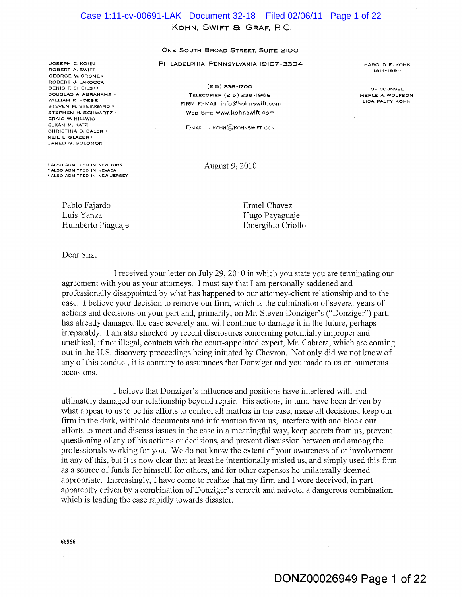# **KOHN, SWIFT 8c GRAF, pc.**  Case 1:11-cv-00691-LAK Document 32-18 Filed 02/06/11 Page 1 of 22

#### **ONE SOUTH BROAD STREET, SUITE 2100**

**PHILADELPHIA, PENNSYLVANIA 19107-3304** 

JOSEPH C. KOHN ROBERT A. SWIFT GEORGE W. CRONER ROBERT J. LAROCCA DENIS F. SHEILS to DOUGLAS A. ABRAHAMS' WILLIAM E. HOESE STEVEN M. STEINGARD \* STEPHEN H. SCHWARTZ + CRAIG W. HILLWIG ELKAN M. KATZ CHRISTINA D. SALER • NEIL L.GLAZERt JARED G. SOLOMON

t ALSO ADMITTED IN NEW YORK ¢ ALSO ADMITTED IN NEVADA **.. ALSO ADMITTED IN NEW JERSEY** 

(215) 238-1700 TELECOPIER (215) 238-1968 FIRM E-MAIL: info@kohnswift.com WEB SITE:www.kohnswift.com

E-MAIL: JKOHN@KOHNSWIFT.COM

August 9, 2010

HAROLD E. KOHN 1914-1999

OF COUNSEL MERLE A. WOLFSON LISA PALFY KOHN

Pablo Fajardo Luis Yanza Humberto Piaguaje

Dear Sirs:

Ermel Chavez Hugo Payaguaje Emergildo Criollo

I received your letter on July 29,2010 in which you state you are terminating our agreement with you as your attorneys. I must say that I am personally saddened and professionally disappointed by what has happened to our attorney-client relationship and to the case. I believe your decision to remove our firm, which is the culmination of several years of actions and decisions on your part and, primarily, on Mr. Steven Donziger's ("Donziger") part, has already damaged the case severely and will continue to damage it in the future, perhaps irreparably. I am also shocked by recent disclosures concerning potentially improper and unethical, if not illegal, contacts with the court-appointed expert, Mr. Cabrera, which are coming out in the U.S. discovery proceedings being initiated by Chevron. Not only did we not know of any of this conduct, it is contrary to assurances that Donziger and you made to us on numerous occasions.

I believe that Donziger's influence and positions have interfered with and ultimately damaged our relationship beyond repair. His actions, in tum, have been driven by what appear to us to be his efforts to control all matters in the case, make all decisions, keep our firm in the dark, withhold documents and information from us, interfere with and block our efforts to meet and discuss issues in the case in a meaningful way, keep secrets from us, prevent questioning of any of his actions or decisions, and prevent discussion between and among the professionals working for you. We do not know the extent of your awareness of or involvement in any of this, but it is now clear that at least he intentionally misled us, and simply used this firm as a source of funds for himself, for others, and for other expenses he unilaterally deemed appropriate. Increasingly, I have come to realize that my firm and I were deceived, in part apparently driven by a combination of Donziger's conceit and naivete, a dangerous combination which is leading the case rapidly towards disaster.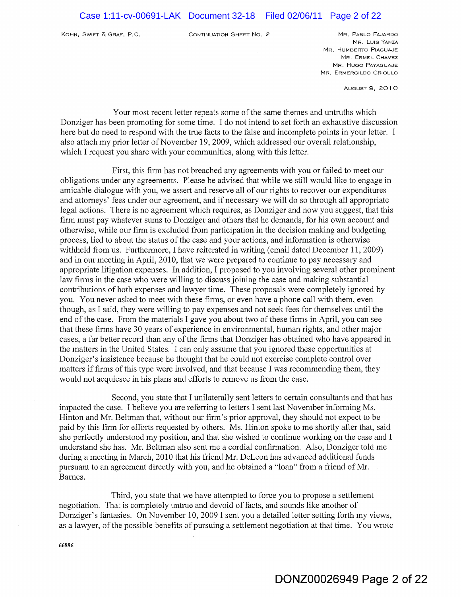KOHN, SWIFT & GRAF, P.C. CONTINUATION SHEET No. 2 MR. PABLO FAJARDO

MR. LUIs YANZA MR. HUMBERTO PIAGUAJE MR. ERMEL CHAVEZ MR. HUGO PAYAGUAJE MR. ERMERGILDO CRIOLLO

AUGUST 9, 20 I 0

Your most recent letter repeats some of the same themes and untruths which Donziger has been promoting for some time. I do not intend to set forth an exhaustive discussion here but do need to respond with the true facts to the false and incomplete points in your letter. I also attach my prior letter of November 19,2009, which addressed our overall relationship, which I request you share with your communities, along with this letter.

First, this firm has not breached any agreements with you or failed to meet our obligations under any agreements. Please be advised that while we still would like to engage in amicable dialogue with you, we assert and reserve all of our rights to recover our expenditures and attorneys' fees under our agreement, and if necessary we will do so through all appropriate legal actions. There is no agreement which requires, as Donziger and now you suggest, that this firm must pay whatever sums to Donziger and others that he demands, for his own account and otherwise, while our firm is excluded from participation in the decision making and budgeting process, lied to about the status of the case and your actions, and information is otherwise withheld from us. Furthermore, I have reiterated in writing (email dated December 11, 2009) and in our meeting in April, 2010, that we were prepared to continue to pay necessary and appropriate litigation expenses. In addition, I proposed to you involving several other prominent law firms in the case who were willing to discuss joining the case and making substantial contributions of both expenses and lawyer time. These proposals were completely ignored by you. You never asked to meet with these firms, or even have a phone call with them, even though, as I said, they were willing to pay expenses and not seek fees for themselves until the end of the case. From the materials I gave you about two of these firms in April, you can see that these firms have 30 years of experience in environmental, human rights, and other major cases, a far better record than any of the firms that Donziger has obtained who have appeared in the matters in the United States. I can only assume that you ignored these opportunities at Donziger's insistence because he thought that he could not exercise complete control over matters if firms of this type were involved, and that because I was recommending them, they would not acquiesce in his plans and efforts to remove us from the case.

Second, you state that I unilaterally sent letters to certain consultants and that has impacted the case. I believe you are referring to letters I sent last November informing Ms. Hinton and Mr. Beltman that, without our firm's prior approval, they should not expect to be paid by this firm for efforts requested by others. Ms. Hinton spoke to me shortly after that, said she perfectly understood my position, and that she wished to continue working on the case and I understand she has. Mr. Beltman also sent me a cordial confirmation. Also, Donziger told me during a meeting in March, 2010 that his friend Mr. DeLeon has advanced additional funds pursuant to an agreement directly with you, and he obtained a "loan" from a friend ofMr. Barnes.

Third, you state that we have attempted to force you to propose a settlement negotiation. That is completely untrue and devoid of facts, and sounds like another of Donziger's fantasies. On November 10, 2009 I sent you a detailed letter setting forth my views, as a lawyer, of the possible benefits of pursuing a settlement negotiation at that time. You wrote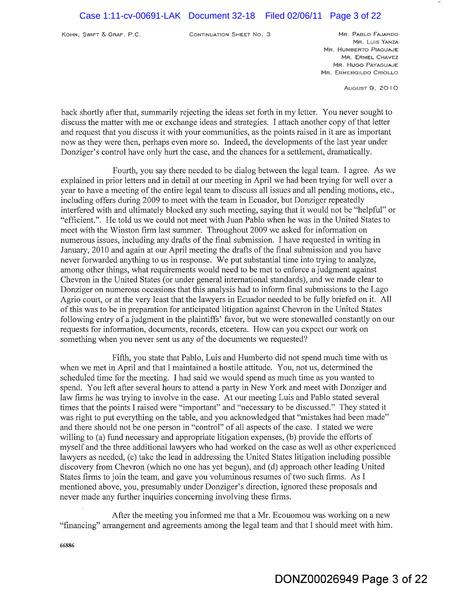KOHN, SWIFT & GRAF, P.C. CONTINUATION SHEET No. 3 MR. PABLO FAJARDO

MR. LUIs YANZA MR. HUMBERTO PIAGUAJE MR. ERMEL CHAVEZ MR. HUGO PAYAGUAJE MR. ERMERGILDO CRIOLLO

AUGUST g, 20 10

back shortly after that, summarily rejecting the ideas set forth in my letter. You never sought to discuss the matter with me or exchange ideas and strategies. I attach another copy of that letter and request that you discuss it with your communities, as the points raised in it are as important now as they'were then, perhaps even more so. Indeed, the developments of the last year under Donziger's control have only hurt the case, and the chances for a settlement, dramatically.

Fourth, you say there needed to be dialog between the legal team. I agree. As we explained in prior letters and in detail at our meeting in April we had been trying for well over a year to have a meeting of the entire legal team to discuss all issues and all pending motions, etc., including offers during 2009 to meet with the team in Ecuador, but Donziger repeatedly interfered with and ultimately blocked any such meeting, saying that it would not be "helpful" or "efficient.". He told us we could not meet with Juan Pablo when he was in the United States to meet with the Winston firm last summer. Throughout 2009 we asked for information on numerous issues, including any drafts of the final submission. I have requested in writing in January, 2010 and again at our April meeting the drafts of the final submission and you have never forwarded anything to us in response. We put substantial time into trying to analyze, among other things, what requirements would need to be met to enforce a judgment against Chevron in the United States (or under general international standards), and we made clear to Donziger on numerous occasions that this analysis had to inform final submissions to the Lago Agrio court, or at the very least that the lawyers in Ecuador needed to be fully briefed on it. All of this was to be in preparation for anticipated litigation against Chevron in the United States following entry of a judgment in the plaintiffs' favor, but we were stonewalled constantly on our requests for information, documents, records, etcetera. How can you expect our work on something when you never sent us any of the documents we requested?

Fifth, you state that Pablo, Luis and Humberto did not spend much time with us when we met in April and that I maintained a hostile attitude. You, not us, determined the scheduled time for the meeting. I had said we would spend as much time as you wanted to spend. You left after several hours to attend a party in New York and meet with Donziger and law firms he was trying to involve in the case. At our meeting Luis and Pablo stated several times that the points I raised were "important" and "necessary to be discussed." They stated it was right to put everything on the table, and you acknowledged that "mistakes had been made" and there should not be one person in "control" of all aspects of the case. I stated we were willing to (a) fund necessary and appropriate litigation expenses, (b) provide the efforts of myself and the three additional lawyers who had worked on the case as well as other experienced lawyers as needed, (c) take the lead in addressing the United States litigation including possible discovery from Chevron (which no one has yet begun), and (d) approach other leading United States firms to join the team, and gave you voluminous resumes of two such firms. As I mentioned above, you, presumably under Donziger's direction, ignored these proposals and never made any further inquiries concerning involving these firms.

After the meeting you informed me that a Mr. Ecouomou was working on a new "financing" arrangement and agreements among the legal team and that I should meet with him.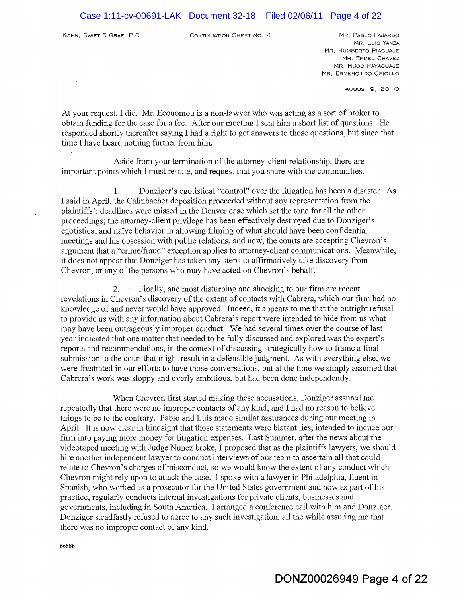KOHN, SWIFT & GRAF, P.C. CONTINUATION SHEET NO. 4 MR. PABLO FAJARDO

MR. LUIS YANZA MR. HUMBERTO PIAGUAJE MR. ERMEL CHAVEZ MR. HUGO PAYAGUAJE MR. ERMERGILDO CRIOLLO

AUGUST 9, 20 10

At your request, I did. Mr. Ecouomou is a non-lawyer who was acting as a sort of broker to obtain funding for the case for a fee. After our meeting I sent him a short list of questions. He responded shortly thereafter saying I had a right to get answers to those questions, but since that time I have heard nothing further from him.

Aside from your termination of the attorney-client relationship, there are important points which I must restate, and request that you share with the communities.

1. Donziger's egotistical "control" over the litigation has been a disaster. As I said in April, the Calmbacher deposition proceeded without any representation from the plaintiffs'; deadlines were missed in the Denver case which set the tone for all the other proceedings; the attorney-client privilege has been effectively destroyed due to Donziger's egotistical and naIve behavior in allowing filming of what should have been confidential meetings and his obsession with public relations, and now, the courts are accepting Chevron's argument that a "crime/fraud" exception applies to attorney-client communications. Meanwhile, it does not appear that Donziger has taken any steps to affirmatively take discovery from Chevron, or any of the persons who may have acted on Chevron's behalf.

2. Finally, and most disturbing and shocking to our firm are recent revelations in Chevron's discovery of the extent of contacts with Cabrera, which our firm had no knowledge of and never would have approved. Indeed, it appears to me that the outright refusal to provide us with any information about Cabrera's report were intended to hide from us what may have been outrageously improper conduct. We had several times over the course of last year indicated that one matter that needed to be fully discussed and explored was the expert's reports and recommendations, in the context of discussing strategically how to frame a final submission to the court that might result in a defensible judgment. As with everything else, we were frustrated in our efforts to have those conversations, but at the time we simply assumed that Cabrera's work was sloppy and overly ambitious, but had been done independently.

When Chevron first started making these accusations, Donziger assured me repeatedly that there were no improper contacts of any kind, and I had no reason to believe things to be to the contrary. Pablo and Luis made similar assurances during our meeting in April. It is now clear in hindsight that those statements were blatant lies, intended to induce our firm into paying more money for litigation expenses. Last Summer, after the news about the videotaped meeting with Judge Nunez broke, I proposed that as the plaintiffs lawyers, we should hire another independent lawyer to conduct interviews of our team to ascertain all that could relate to Chevron's charges of misconduct, so we would know the extent of any conduct which Chevron might rely upon to attack the case. I spoke with a lawyer in Philadelphia, fluent in Spanish, who worked as a prosecutor for the United States government and now as part of his practice, regularly conducts internal investigations for private clients, businesses and governments, including in South America. I arranged a conference call with him and Donziger. Donziger steadfastly refused to agree to any such investigation, all the while assuring me that there was no improper contact of any kind.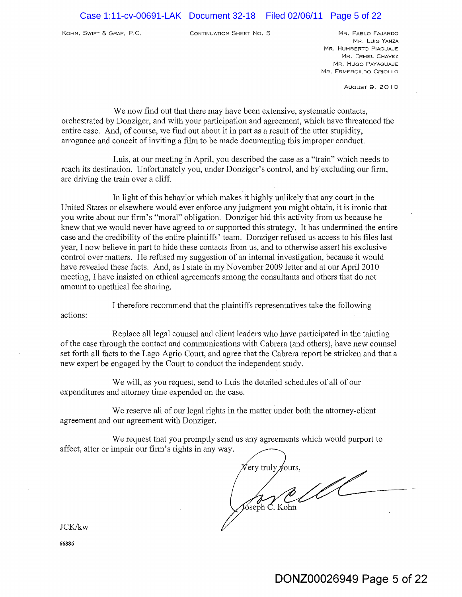KOHN, SWIFT & GRAF, P.C. CONTINUATION SHEET No. 5 MR. PABLO FAJARDO

MR. LUIS YANZA MR. HUMBERTO PIAGUAJE MR. ERMEL CHAVEZ MR. HUGO PAYAGUAJE MR. ERMERGILDO CRIOLLO

**AUGUST 9, 2010** 

We now find out that there may have been extensive, systematic contacts, orchestrated by Donziger, and with your participation and agreement, which have threatened the entire case. And, of course, we find out about it in part as a result of the utter stupidity, arrogance and conceit of inviting a film to be made documenting this improper conduct.

Luis, at our meeting in April, you described the case as a "train" which needs to reach its destination. Unfortunately you, under Donziger's control, and by excluding our firm, are driving the train over a cliff.

In light of this behavior which makes it highly unlikely that any court in the United States or elsewhere would ever enforce any judgment you might obtain, it is ironic that you write about our firm's "moral" obligation. Donziger hid this activity from us because he knew that we would never have agreed to or supported this strategy. It has undermined the entire case and the credibility of the entire plaintiffs' team. Donziger refused us access to his files last year, I now believe in part to hide these contacts from us, and to otherwise assert his exclusive control over matters. He refused my suggestion of an internal investigation, because it would have revealed these facts. And, as I state in my November 2009 letter and at our April 2010 meeting, I have insisted on ethical agreements among the consultants and others that do not amount to unethical fee sharing.

I therefore recommend that the plaintiffs representatives take the following

Replace all legal counsel and client leaders who have participated in the tainting of the case through the contact and communications with Cabrera (and others), have new counsel set forth all facts to the Lago Agrio Court, and agree that the Cabrera report be stricken and that a new expert be engaged by the Court to conduct the independent study.

We will, as you request, send to Luis the detailed schedules of all of our expenditures and attorney time expended on the case.

We reserve all of our legal rights in the matter under both the attorney-client agreement and our agreement with Donziger.

We request that you promptly send us any agreements which would purport to affect, alter or impair our firm's rights in any way.

'ery truly **OUTS** Sseph C. Kohn

JCKJkw

actions: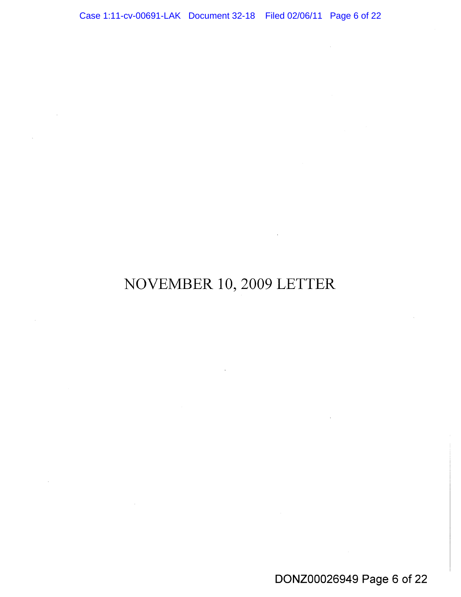NOVEMBER 10, 2009 LETTER

 $\sim$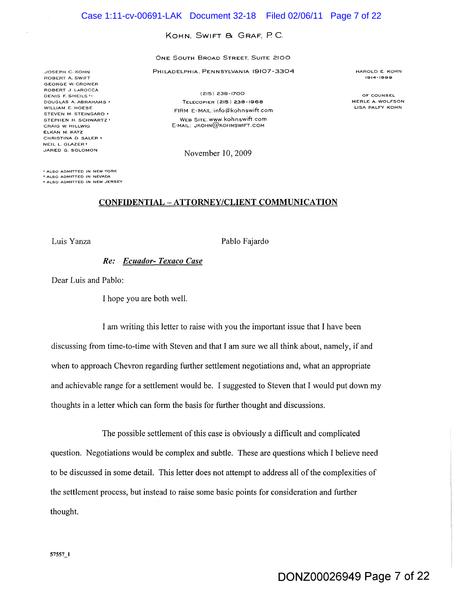#### KOHN. SWIFT & GRAF. P.C.

ONE SOUTH BROAD STREET. SUITE 2100

PHILADELPHIA. PENNSYLVANIA 19107-3304

JOSEPH C. KaHN ROBERT A. SWIFT GEORGE W. CRONER ROBERT J LAROCCA DENIS E SHEILS <sup>to</sup> DOUGLAS A. ABRAHAMS' WILLIAM E. HOESE STEVEN M. STEINGARD • STEPHEN H. SCHWARTZ ! CRAIG W. HILLWIG ELKAN M. KATZ CHRISTINA D. SALER • NEIL L. GLAZER t JARED G. SOLOMON

(215) 238-1700 TELECOPIER (215) 238-1968 FIRM E-MAIL:info@kohnswift.com WEB SITE:www.kohnswift.com E-MAIL: JKOHN@KOHNSWIFT.COM

November 10,2009

HAROLD E KaHN 1914-1999

OF COUNSEL MERLE A. WOLFSON LISA PALFY KOHN

<sup>t</sup>ALSO ADMITTED IN NEW YORK o ALSO AOMITTED IN NEVADA • ALSO ADMITTED IN NEW JERSEY

#### CONFIDENTIAL - ATTORNEY/CLIENT COMMUNICATION

Luis Yanza Pablo Fajardo

*Re: Ecuador- Texaco Case* 

Dear Luis and Pablo:

I hope you are both well.

I am writing this letter to raise with you the important issue that I have been discussing from time-to-time with Steven and that I am sure we all think about, namely, if and when to approach Chevron regarding further settlement negotiations and, what an appropriate and achievable range for a settlement would be. I suggested to Steven that I would put down my thoughts in a letter which can form the basis for further thought and discussions.

The possible settlement of this case is obviously a difficult and complicated question. Negotiations would be complex and subtle. These are questions which I believe need to be discussed in some detail. This letter does not attempt to address all of the complexities of the settlement process, but instead to raise some basic points for consideration and further thought.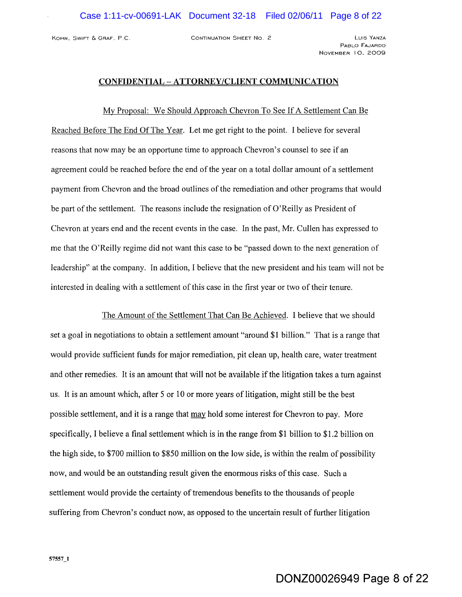KOHN. SWIFT & GRAF. P.C. CONTINUATION SHEET No.2 LUIS YANZA

PABLO FAJARDO NOVEMBER 10. 2009

# CONFIDENTIAL - ATTORNEY/CLIENT COMMUNICATION

My Proposal: We Should Approach Chevron To See If A Settlement Can Be Reached Before The End Of The Year. Let me get right to the point. I believe for several reasons that now may be an opportune time to approach Chevron's counsel to see if an agreement could be reached before the end of the year on a total dollar amount of a settlement payment from Chevron and the broad outlines of the remediation and other programs that would be part of the settlement. The reasons include the resignation of O'Reilly as President of Chevron at years end and the recent events in the case. In the past, Mr. Cullen has expressed to me that the O'Reilly regime did not want this case to be "passed down to the next generation of leadership" at the company. In addition, I believe that the new president and his team will not be interested in dealing with a settlement of this case in the first year or two of their tenure.

The Amount of the Settlement That Can Be Achieved. I believe that we should set a goal in negotiations to obtain a settlement amount "around \$1 billion." That is a range that would provide sufficient funds for major remediation, pit clean up, health care, water treatment and other remedies. It is an amount that will not be available if the litigation takes a tum against us. It is an amount which, after 5 or 10 or more years of litigation, might still be the best possible settlement, and it is a range that may hold some interest for Chevron to pay. More specifically, I believe a final settlement which is in the range from \$1 billion to \$1.2 billion on the high side, to \$700 million to \$850 million on the low side, is within the realm of possibility now, and would be an outstanding result given the enormous risks of this case. Such a settlement would provide the certainty of tremendous benefits to the thousands of people suffering from Chevron's conduct now, as opposed to the uncertain result of further litigation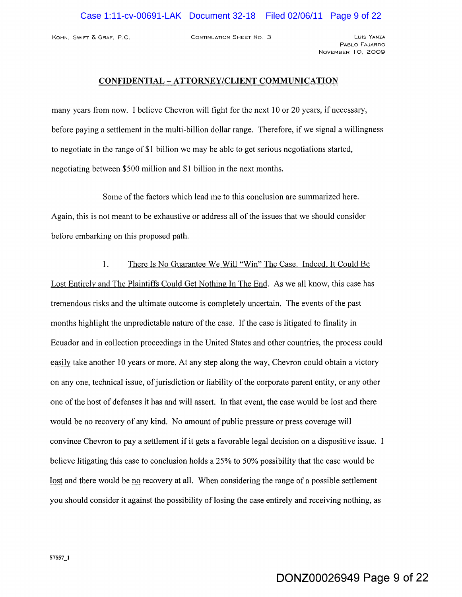KOHN, SWIFT & GRAF, P.C. CONTINUATION SHEET No. 3 LUIS YANZA

PABLO FAJARDO NOVEMBER 10, 2009

# **CONFIDENTIAL - ATTORNEY/CLIENT COMMUNICATION**

many years from now. I believe Chevron will fight for the next 10 or 20 years, if necessary, before paying a settlement in the multi-billion dollar range. Therefore, if we signal a willingness to negotiate in the range of \$1 billion we may be able to get serious negotiations started, negotiating between \$500 million and \$1 billion in the next months.

Some of the factors which lead me to this conclusion are summarized here. Again, this is not meant to be exhaustive or address all of the issues that we should consider before embarking on this proposed path.

1. There Is No Guarantee We Will "Win" The Case. Indeed, It Could Be Lost Entirely and The Plaintiffs Could Get Nothing In The End. As we all know, this case has tremendous risks and the ultimate outcome is completely uncertain. The events of the past months highlight the unpredictable nature of the case. If the case is litigated to finality in Ecuador and in collection proceedings in the United States and other countries, the process could easily take another 10 years or more. At any step along the way, Chevron could obtain a victory on anyone, technical issue, of jurisdiction or liability of the corporate parent entity, or any other one of the host of defenses it has and will assert. In that event, the case would be lost and there would be no recovery of any kind. No amount of public pressure or press coverage will convince Chevron to pay a settlement if it gets a favorable legal decision on a dispositive issue. I believe litigating this case to conclusion holds a 25% to 50% possibility that the case would be lost and there would be no recovery at all. When considering the range of a possible settlement you should consider it against the possibility of losing the case entirely and receiving nothing, as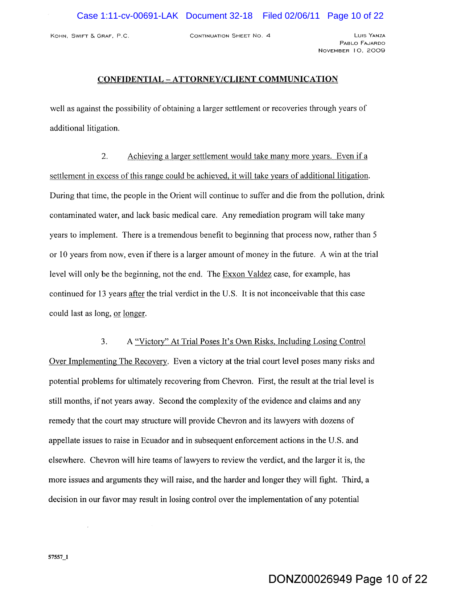KOHN, SWIFT 6. GRAF, P.C. CONTINUATION SHEET No. 4 LUIS YANZA

PABLO FAJARDO NOVEMBER 10, 2009

# **CONFIDENTIAL - ATTORNEY/CLIENT COMMUNICATION**

well as against the possibility of obtaining a larger settlement or recoveries through years of additional litigation,

2, Achieving a larger settlement would take many more years, Even if a settlement in excess of this range could be achieved, it will take years of additional litigation. During that time, the people in the Orient will continue to suffer and die from the pollution, drink contaminated water, and lack basic medical care, Any remediation program will take many years to implement. There is a tremendous benefit to beginning that process now, rather than 5 or 10 years from now, even if there is a larger amount of money in the future, A win at the trial level will only be the beginning, not the end, The Exxon Valdez case, for example, has continued for 13 years after the trial verdict in the U,S, It is not inconceivable that this case could last as long, or longer,

3, A "Victory" At Trial Poses It's Own Risks, Including Losing Control Over Implementing The Recovery, Even a victory at the trial court level poses many risks and potential problems for ultimately recovering from Chevron, First, the result at the trial level is still months, if not years away. Second the complexity of the evidence and claims and any remedy that the court may structure will provide Chevron and its lawyers with dozens of appellate issues to raise in Ecuador and in subsequent enforcement actions in the U.S, and elsewhere. Chevron will hire teams of lawyers to review the verdict, and the larger it is, the more issues and arguments they will raise, and the harder and longer they will fight. Third, a decision in our favor may result in losing control over the implementation of any potential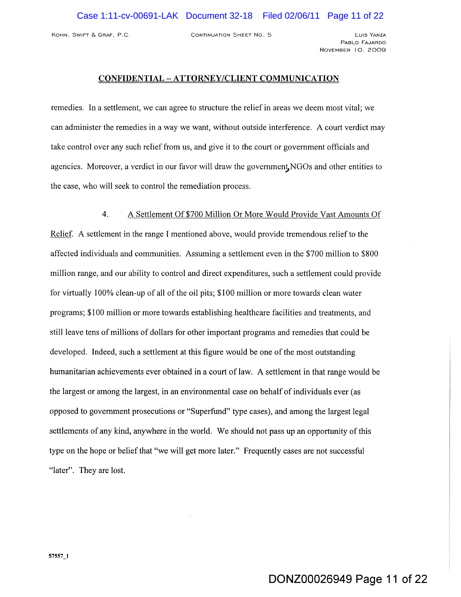KOHN, SWIFT & GRAF, P.C. CONTINUATION SHEET NO. 5

PABLO FAJARDO NOVEMBER 10, 2009

#### CONFIDENTIAL - ATTORNEY/CLIENT COMMUNICATION

remedies, In a settlement, we can agree to structure the relief in areas we deem most vital; we can administer the remedies in a way we want, without outside interference. A court verdict may take control over any such relief from us, and give it to the court or government officials and agencies. Moreover, a verdict in our favor will draw the government, NGOs and other entities to the case, who will seek to control the remediation process.

#### 4. A Settlement Of\$700 Million Or More Would Provide Vast Amounts Of

Relief. A settlement in the range I mentioned above, would provide tremendous relief to the affected individuals and communities. Assuming a settlement even in the \$700 million to \$800 million range, and our ability to control and direct expenditures, such a settlement could provide for virtually 100% clean-up of all of the oil pits; \$100 million or more towards clean water programs; \$100 million or more towards establishing healthcare facilities and treatments, and still leave tens of millions of dollars for other important programs and remedies that could be developed. Indeed, such a settlement at this figure would be one of the most outstanding humanitarian achievements ever obtained in a court of law. A settlement in that range would be the largest or among the largest, in an environmental case on behalf of individuals ever (as opposed to government prosecutions or "Superfund" type cases), and among the largest legal settlements of any kind, anywhere in the world. We should not pass up an opportunity of this type on the hope or belief that "we will get more later." Frequently cases are not successful "later". They are lost.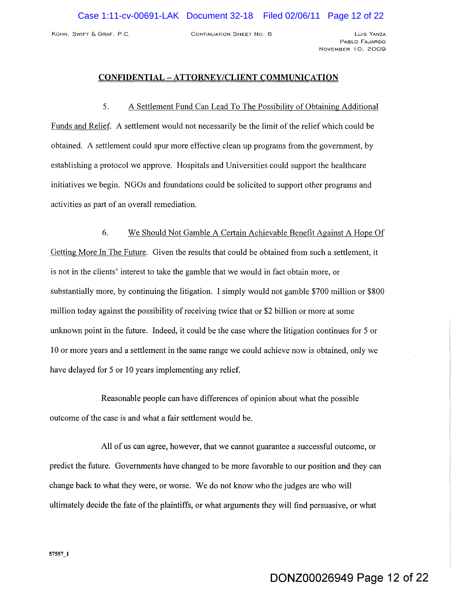KOHN, SWIFT & GRAF, P.C. CONTINUATION SHEET NO.6 LUIS YANZA

PABLO FAJARDO NOVEMBER 10, 2009

# **CONFIDENTIAL - ATTORNEY/CLIENT COMMUNICATION**

5. A Settlement Fund Can Lead To The Possibility of Obtaining Additional Funds and Relief. A settlement would not necessarily be the limit of the relief which could be obtained. A settlement could spur more effective clean up programs from the government, by establishing a protocol we approve. Hospitals and Universities could support the healthcare initiatives we begin. NGOs and foundations could be solicited to support other programs and activities as part of an overall remediation.

6. We Should Not Gamble A Certain Achievable Benefit Against A Hope Of Getting More In The Future. Given the results that could be obtained from such a settlement, it is not in the clients' interest to take the gamble that we would in fact obtain more, or substantially more, by continuing the litigation. I simply would not gamble \$700 million or \$800 million today against the possibility of receiving twice that or \$2 billion or more at some unknown point in the future. Indeed, it could be the case where the litigation continues for 5 or 10 or more years and a settlement in the same range we could achieve now is obtained, only we have delayed for 5 or 10 years implementing any relief.

Reasonable people can have differences of opinion about what the possible outcome of the case is and what a fair settlement would be.

All of us can agree, however, that we cannot guarantee a successful outcome, or predict the future. Governments have changed to be more favorable to our position and they can change back to what they were, or worse. We do not know who the judges are who will ultimately decide the fate of the plaintiffs, or what arguments they will find persuasive, or what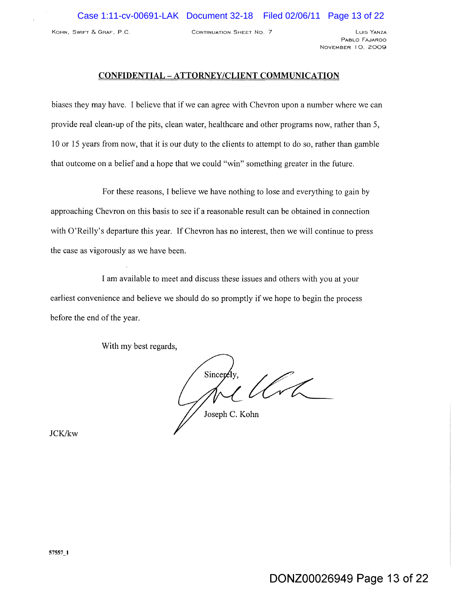KOHN, SWIFT & GRAF, P.C. CONTINUATION SHEET NO. 7 LUIS YANZA

PABLO FAJARDO NOVEMBER 10, 2009

# **CONFIDENTIAL** - A **TTORNEY/CLIENT COMMUNICATION**

biases they may have. I believe that if we can agree with Chevron upon a number where we can provide real clean-up of the pits, clean water, healthcare and other programs now, rather than 5, 10 or 15 years from now, that it is our duty to the clients to attempt to do so, rather than gamble that outcome on a belief and a hope that we could "win" something greater in the future.

For these reasons, I believe we have nothing to lose and everything to gain by approaching Chevron on this basis to see if a reasonable result can be obtained in connection with O'Reilly's departure this year. If Chevron has no interest, then we will continue to press the case as vigorously as we have been.

I am available to meet and discuss these issues and others with you at your earliest convenience and believe we should do so promptly if we hope to begin the process before the end of the year.

With my best regards,

Sincer

Joseph C. Kohn

JCK/kw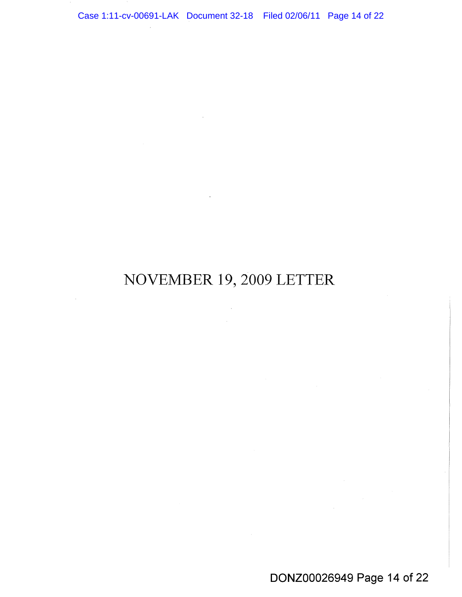NOVEMBER 19,2009 LETTER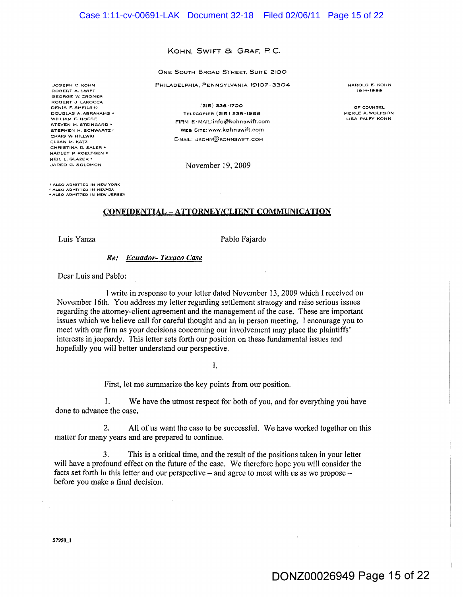#### KOHN, SWIFT & GRAF, P.C.

#### ONE SOUTH BROAD STREET, SUITE 2100

PHILADELPHIA, PENNSYLVANIA 19107-3304

JOSEPH C. KOHN ROBERT A. SWIFT GEORGE W. CRONER ROBERT J. LAROCCA DENIS F. SHEILS 19 DOUGLAS A. ABRAHAMS' WILLIAM E. HOESE STEVEN M. STEINGARD • STEPHEN H. SCHWARTZ + CRAIG W. HILLWIG ELKAN M. KATZ CHRISTINA D. SALER • HADLEY P. ROELTGEN • NEIL L. GLAZER t JARED G. SOLOMON

(215) 236-1700 TELECOPIER (216) 238-1gea FIRM E-MAIL: info@kohnswift.com WEB SITE:www.kohnswift.com E-MAIL: JKOHN@KOHNSWIFT.COM

November 19,2009

HAROLD E. KOHN 1914-1999

OF COUNSEL MERLE A. WOLFSON LISA PALFY KOHN

t ALSO ADMITTED IN NEW YORK () Ai..SO AOMITTED IN NEVADA \* ALSO ADMITTED IN NEW JERSEY

#### CONFIDENTIAL - ATTORNEY/CLIENT COMMUNICATION

Luis Yanza Pablo Fajardo

*Re: Ecuador- Texaco Case* 

Dear Luis and Pablo:

I write in response to your letter dated November 13, 2009 which I received on November 16th, You address my letter regarding settlement strategy and raise serious issues regarding the attorney-client agreement and the management of the case. These are important issues which we believe call for careful thought and an in person meeting. I encourage you to meet with our firm as your decisions concerning our involvement may place the plaintiffs' interests in jeopardy. This letter sets forth our position on these fundamental issues and hopefully you will better understand our perspective.

I.

First, let me summarize the key points from our position.

. 1. We have the utmost respect for both of you, and for everything you have done to advance the case.

2. All of us want the case to be successful. We have worked together on this matter for many years and are prepared to continue.

3. This is a critical time, and the result of the positions taken in your letter will have a profound effect on the future of the case. We therefore hope you will consider the facts set forth in this letter and our perspective  $-$  and agree to meet with us as we propose  $$ before you make a final decision.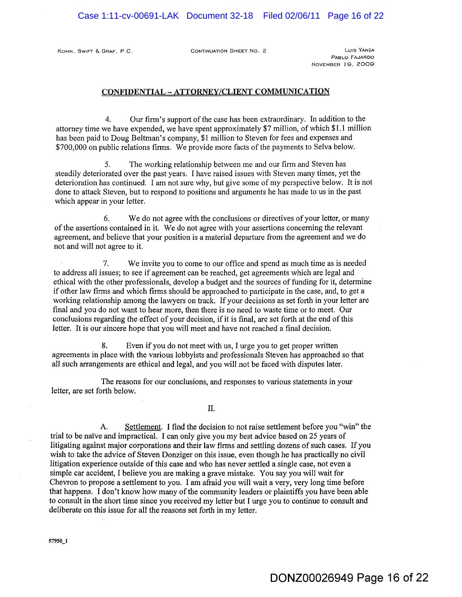KOHN. SWIFT & GRAF. P.C. CONTINUATION SHEET No. 2 LUIS YANZA

PABLO FAJARDO NOVEMBER 19. 2009

#### **CONFIDENTIAL ATTORNEY/CLIENT CQMMUNICA TION**

4. Our firm's support of the case has been extraordinary. In addition to the attorney time we have expended, we have spent approximately \$7 million, of which \$1.1 million has been paid to Doug Beltman's company, \$1 million to Steven for fees and expenses and \$700,000 on public relations firms. We provide more facts of the payments to Selva below.

5. The working relationship between me and our firm and Steven has steadily deteriorated over the past years. I have raised issues with Steven many times, yet the deterioration has continued. I am not sure why, but give some of my perspective below. It is not done to attack Steven, but to respond to positions and arguments he has made to us in the past which appear in your letter.

6. We do not agree with the conclusions or directives of your letter, or many of the assertions contained in it. We do not agree with your assertions concerning the relevant agreement, and believe that your position is a material departure from the agreement and we do not and will not agree to it.

7. We invite you to come to our office and spend as much time as is needed to address all issues; to see if agreement can be reached, get agreements which are legal and ethical with the other professionals, develop a budget and the sources of funding for it, determine if other law firms and which firms should be approached to participate in the case, and, to get a working relationship among the lawyers on track. If your decisions as set forth in your letter are final and you do not want to hear more, then there is no need to waste time or to meet. Our conclusions regarding the effect of your decision, if it is final, are set forth at the end of this letter. It is our sincere hope that you will meet and have not reached a final decision.

8. Even if you do not meet with us, I urge you to get proper written agreements in place with the various lobbyists and professionals Steven has approached so that all such arrangements are ethical and legal, and you will not be faced with disputes later.

The reasons for our conclusions, and responses to various statements in your letter, are set forth below.

II.

A. Settlement. I find the decision to not raise settlement before you "win" the trial to be naive and impractical. I can only give you my best advice based on 25 years of litigating against major corporations and their law firms and settling dozens of such cases. If you wish to take the advice of Steven Donziger on this issue, even though he has practically no civil litigation experience outside of this case and who has never settled a single case, not even a simple car accident, I believe you are making a grave mistake. You say you will wait for Chevron to propose a settlement to you. I am afraid you will wait a very, very long time before that happens. I don't know how many of the community leaders or plaintiffs you have been able to consult in the short time since you received my letter but I urge you to continue to consult and deliberate on this issue for all the reasons set forth in my letter.

*5795V*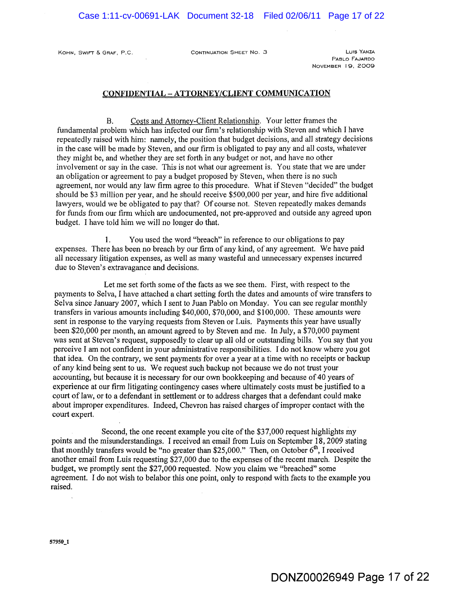KOHN, SWIFT & GRAF, P.C. CONTINUATION SHEET NO. 3

PABLO FAJARDO NOVEMBER 19, 2009

#### **CONFIDENTIAL - ATTORNEY/CLIENT COMMUNICATION**

B, Costs and Attorney-Client Relationship. Your letter frames the fundamental problem which has infected our firm's relationship with Steven and which I have repeatedly raised with him: namely, the position that budget decisions, and all strategy decisions in the case will be made by Steven, and our firm is obligated to pay any and all costs, whatever they might be, and whether they are set forth in any budget or not, and have no other involvement or say in the case. This is not what our agreement is. You state that we are under an obligation or agreement to pay a budget proposed by Steven, when there is no such agreement, nor would any law firm agree to this procedure. What if Steven "decided" the budget should be \$3 million per year, and he should receive \$500,000 per year, and hire five additional lawyers, would we be obligated to pay that? Of course not. Steven repeatedly makes demands for funds from our firm which are undocumented, not pre-approved and outside any agreed upon budget. I have told him we will no longer do that.

1. You used the word "breach" in reference to our obligations to pay expenses. There has been no breach by our firm of any kind, of any agreement. We have paid all necessary litigation expenses, as well as many wasteful and unnecessary expenses incurred due to Steven's extravagance and decisions.

Let me set forth some of the facts as we see them. First, with respect to the payments to Selva, I have attached a chart setting forth the dates and amounts of wire transfers to Selva since January 2007, which I sent to Juan Pablo on Monday. You can see regular monthly transfers in various amounts including \$40,000, \$70,000, and \$100,000. These amounts were sent in response to the varying requests from Steven or Luis. Payments this year have usually been \$20,000 per month, an amount agreed to by Steven and me. In July, a \$70,000 payment was sent at Steven's request, supposedly to clear up all old or outstanding bills. You say that you perceive I am not confident in your administrative responsibilities. I do not know where you got that idea. On the contrary, we sent payments for over a year at a time with no receipts or backup of any kind being sent to us. We request such backup not because we do not trust your accounting, but because it is necessary for our own bookkeeping and because of 40 years of experience at our firm litigating contingency cases where ultimately costs must be justified to a court of law, or to a defendant in settlement or to address charges that a defendant could make about improper expenditures. Indeed, Chevron has raised charges of improper contact with the court expert.

Second, the one recent example you cite of the \$37,000 request highlights my points and the misunderstandings. I received an email from Luis on September 18,2009 stating that monthly transfers would be "no greater than \$25,000." Then, on October 6<sup>th</sup>, I received another email from Luis requesting \$27,000 due to the expenses of the recent march. Despite the budget, we promptly sent the \$27,000 requested. Now you claim we "breached" some agreement. I do not wish to belabor this one point, only to respond with facts to the example you raised.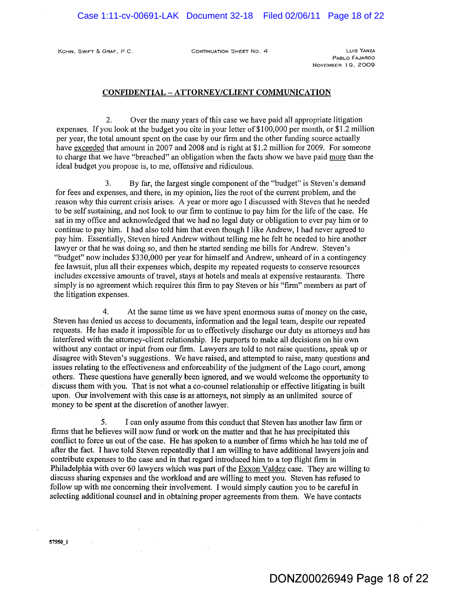KOHN, SWIFT & GRAF, P.C. CONTINUATION SHEET No. 4 LUIS YANZA

PABLO FAJARDO NOVEMBER 19, 2009

#### CONFIDENTIAL - ATTORNEY/CLIENT COMMUNICATION

2. Over the many years of this case we have paid all appropriate litigation expenses. If you look at the budget you cite in your letter of \$1 00,000 per month, or \$1.2 million per year, the total amount spent on the case by our firm and the other funding source actually have exceeded that amount in 2007 and 2008 and is right at \$1.2 million for 2009. For someone to charge that we have "breached" an obligation when the facts show we have paid more than the ideal budget you propose is, to me, offensive and ridiculous.

3. By far, the largest single component of the "budget" is Steven's demand for fees and expenses, and there, in my opinion, lies the root of the current problem, and the reason why this current crisis arises. A year or more ago I discussed with Steven that he needed to be self sustaining, and not look to our firm to continue to pay him for the life of the case. He sat in my office and acknowledged that we had no legal duty or obligation to ever pay him or to continue to pay him. I had also told him that even though I like Andrew, I had never agreed to pay him. Essentially, Steven hired Andrew without telling me he felt he needed to hire another lawyer or that he was doing so, and then he started sending me bills for Andrew. Steven's "budget" now includes \$330,000 per year for himself and Andrew, unheard of in a contingency fee lawsuit, plus all their expenses which, despite my repeated requests to conserve resources includes excessive amounts of travel, stays at hotels and meals at expensive restaurants. There simply is no agreement which requires this firm to pay Steven or his "firm" members as part of the litigation expenses.

4. At the same time as we have spent enormous sums of money on the case, Steven has denied us access to documents, information and the legal team, despite our repeated requests. He has made it impossible for us to effectively discharge our duty as attorneys and has interfered with the attorney-client relationship. He purports to make all decisions on his own without any contact or input from our firm. Lawyers are told to not raise questions, speak up or disagree with Steven's suggestions, We have raised, and attempted to raise, many questions and issues relating to the effectiveness and enforceability of the judgment of the Lago court, among others. These questions have generally been ignored, and we would welcome the opportunity to discuss them with you. That is not what a co-counsel relationship or effective litigating is built upon. Our involvement with this case is as attorneys, not simply as an unlimited source of . money to be spent at the discretion of another lawyer.

5. I can only assume from this conduct that Steven has another law firm or firms that he believes will now fund or work on the matter and that he has precipitated this conflict to force us out of the case. He has spoken to a number of firms which he has told me of after the fact. I have told Steven repeatedly that I am willing to have additional lawyers join and contribute expenses to the case and in that regard introduced him to a top flight firm in Philadelphia with over 60 lawyers which was part of the Exxon Valdez case. They are willing to discuss sharing expenses and the workload and are willing to meet you. Steven has refused to follow up with me concerning their involvement. I would simply caution you to be careful in selecting additional counsel and in obtaining proper agreements from them. We have contacts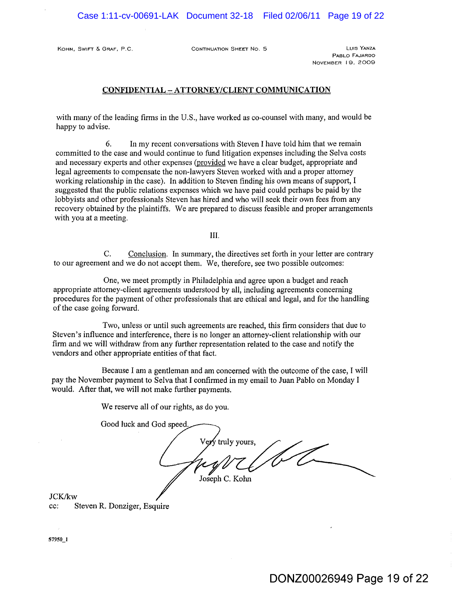KOHN, SWIFT & GRAF, P.C. CONTINUATION SHEET NO. 5 CONTINUATION SHEET NO. 5

PABLO FAJARDO NOVEMBER 19, 2009

#### CONFIDENTIAL - ATTORNEY/CLIENT COMMUNICATION

with many of the leading firms in the U.S., have worked as co-counsel with many, and would be happy to advise.

6. In my recent conversations with Steven I have told him that we remain committed to the case and would continue to fund litigation expenses including the Selva costs and necessary experts and other expenses (provided we have a clear budget, appropriate and legal agreements to compensate the non-lawyers Steven worked with and a proper attorney working relationship in the case). In addition to Steven finding his own means of support, I suggested that the public relations expenses which we have paid could perhaps be paid by the lobbyists and other professionals Steven has hired and who will seek their own fees from any recovery obtained by the plaintiffs. We are prepared to discuss feasible and proper arrangements with you at a meeting.

III.

C. Conclusion. In summary, the directives set forth in your letter are contrary to our agreement and we do not accept them. We, therefore, see two possible outcomes:

One, we meet promptly in Philadelphia and agree upon a budget and reach appropriate attorney-client agreements understood by all, including agreements concerning procedures for the payment of other professionals that are ethical and legal, and for the handling of the case going forward.

Two, unless or until such agreements are reached, this firm considers that due to Steven's influence and interference, there is no longer an attorney-client relationship with our firm and we will withdraw from any further representation related to the case and notify the vendors and other appropriate entities of that fact.

Because I am a gentleman and am concerned with the outcome of the case, I will pay the November payment to Selva that I confirmed in my email to Juan Pablo on Monday I would. After that, we will not make further payments.

We reserve all of our rights, as do you.

Good luck and God speed. truly yours, Joseph C. Kohn

JCK/kw cc: Steven R. Donziger, Esquire

57950\_1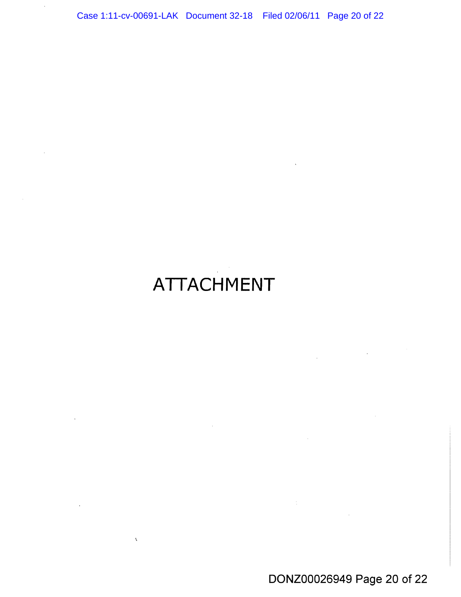# **ATTACHMENT**

 $\sim 10$ 

 $\ddot{\phantom{a}}$ 

 $\Delta \vec{V}$ 

DONZ00026949 Page 20 of 22

 $\mathcal{L}^{\text{max}}_{\text{max}}$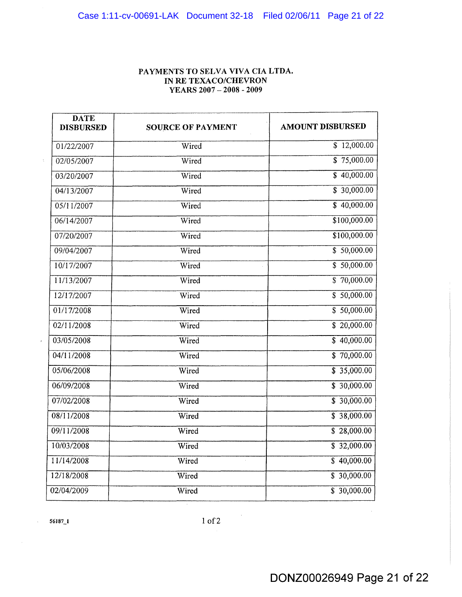# **PAYMENTS TO SELVA VIVA CIA LTDA. IN RE TEXACO/CHEVRON YEARS 2007 - 2008 - 2009**

| <b>DATE</b><br><b>DISBURSED</b> | <b>SOURCE OF PAYMENT</b> | <b>AMOUNT DISBURSED</b> |
|---------------------------------|--------------------------|-------------------------|
| 01/22/2007                      | Wired                    | $\overline{$}12,000.00$ |
| 02/05/2007                      | Wired                    | $\overline{$}75,000.00$ |
| 03/20/2007                      | Wired                    | \$40,000.00             |
| 04/13/2007                      | Wired                    | \$30,000.00             |
| 05/11/2007                      | Wired                    | $\frac{1}{2}$ 40,000.00 |
| 06/14/2007                      | Wired                    | \$100,000.00            |
| 07/20/2007                      | Wired                    | \$100,000.00            |
| 09/04/2007                      | Wired                    | \$50,000.00             |
| 10/17/2007                      | Wired                    | \$50,000.00             |
| 11/13/2007                      | Wired                    | $\frac{1}{2}$ 70,000.00 |
| 12/17/2007                      | Wired                    | \$50,000.00             |
| 01/17/2008                      | Wired                    | \$50,000.00             |
| 02/11/2008                      | Wired                    | $\frac{1}{20,000.00}$   |
| 03/05/2008                      | Wired                    | \$40,000.00             |
| 04/11/2008                      | Wired                    | $\frac{1}{2}$ 70,000.00 |
| 05/06/2008                      | Wired                    | $\overline{$}35,000.00$ |
| 06/09/2008                      | Wired                    | \$30,000.00             |
| 07/02/2008                      | Wired                    | \$30,000.00             |
| 08/11/2008                      | Wired                    | $\overline{$}38,000.00$ |
| 09/11/2008                      | Wired                    | \$28,000.00             |
| 10/03/2008                      | Wired                    | $\frac{1}{2}$ 32,000.00 |
| 11/14/2008                      | Wired                    | \$40,000.00             |
| 12/18/2008                      | Wired                    | $\frac{1}{2}$ 30,000.00 |
| 02/04/2009                      | Wired                    | \$30,000.00             |

 $\ddot{\phantom{a}}$ 

10f2